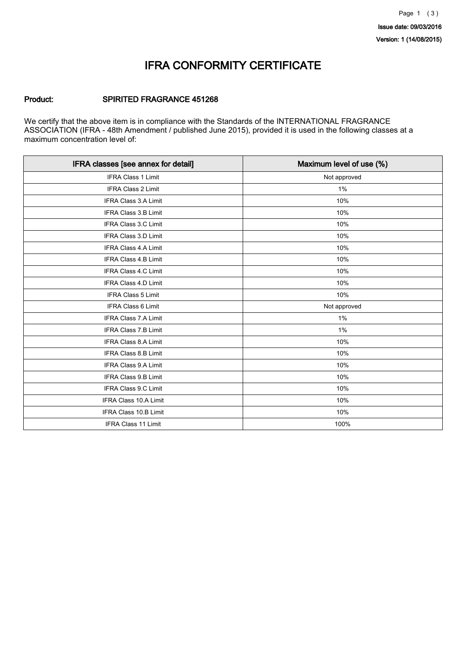### IFRA CONFORMITY CERTIFICATE

### Product: SPIRITED FRAGRANCE 451268

We certify that the above item is in compliance with the Standards of the INTERNATIONAL FRAGRANCE ASSOCIATION (IFRA - 48th Amendment / published June 2015), provided it is used in the following classes at a maximum concentration level of:

| IFRA classes [see annex for detail] | Maximum level of use (%) |
|-------------------------------------|--------------------------|
| <b>IFRA Class 1 Limit</b>           | Not approved             |
| <b>IFRA Class 2 Limit</b>           | 1%                       |
| <b>IFRA Class 3.A Limit</b>         | 10%                      |
| IFRA Class 3.B Limit                | 10%                      |
| IFRA Class 3.C Limit                | 10%                      |
| <b>IFRA Class 3.D Limit</b>         | 10%                      |
| <b>IFRA Class 4.A Limit</b>         | 10%                      |
| <b>IFRA Class 4.B Limit</b>         | 10%                      |
| IFRA Class 4.C Limit                | 10%                      |
| IFRA Class 4.D Limit                | 10%                      |
| <b>IFRA Class 5 Limit</b>           | 10%                      |
| <b>IFRA Class 6 Limit</b>           | Not approved             |
| <b>IFRA Class 7.A Limit</b>         | 1%                       |
| <b>IFRA Class 7.B Limit</b>         | $1\%$                    |
| <b>IFRA Class 8.A Limit</b>         | 10%                      |
| <b>IFRA Class 8.B Limit</b>         | 10%                      |
| IFRA Class 9.A Limit                | 10%                      |
| IFRA Class 9.B Limit                | 10%                      |
| IFRA Class 9.C Limit                | 10%                      |
| IFRA Class 10.A Limit               | 10%                      |
| IFRA Class 10.B Limit               | 10%                      |
| IFRA Class 11 Limit                 | 100%                     |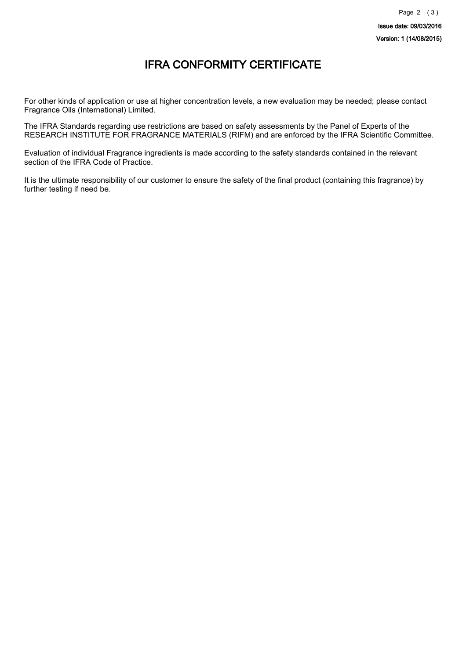## IFRA CONFORMITY CERTIFICATE

For other kinds of application or use at higher concentration levels, a new evaluation may be needed; please contact Fragrance Oils (International) Limited.

The IFRA Standards regarding use restrictions are based on safety assessments by the Panel of Experts of the RESEARCH INSTITUTE FOR FRAGRANCE MATERIALS (RIFM) and are enforced by the IFRA Scientific Committee.

Evaluation of individual Fragrance ingredients is made according to the safety standards contained in the relevant section of the IFRA Code of Practice.

It is the ultimate responsibility of our customer to ensure the safety of the final product (containing this fragrance) by further testing if need be.